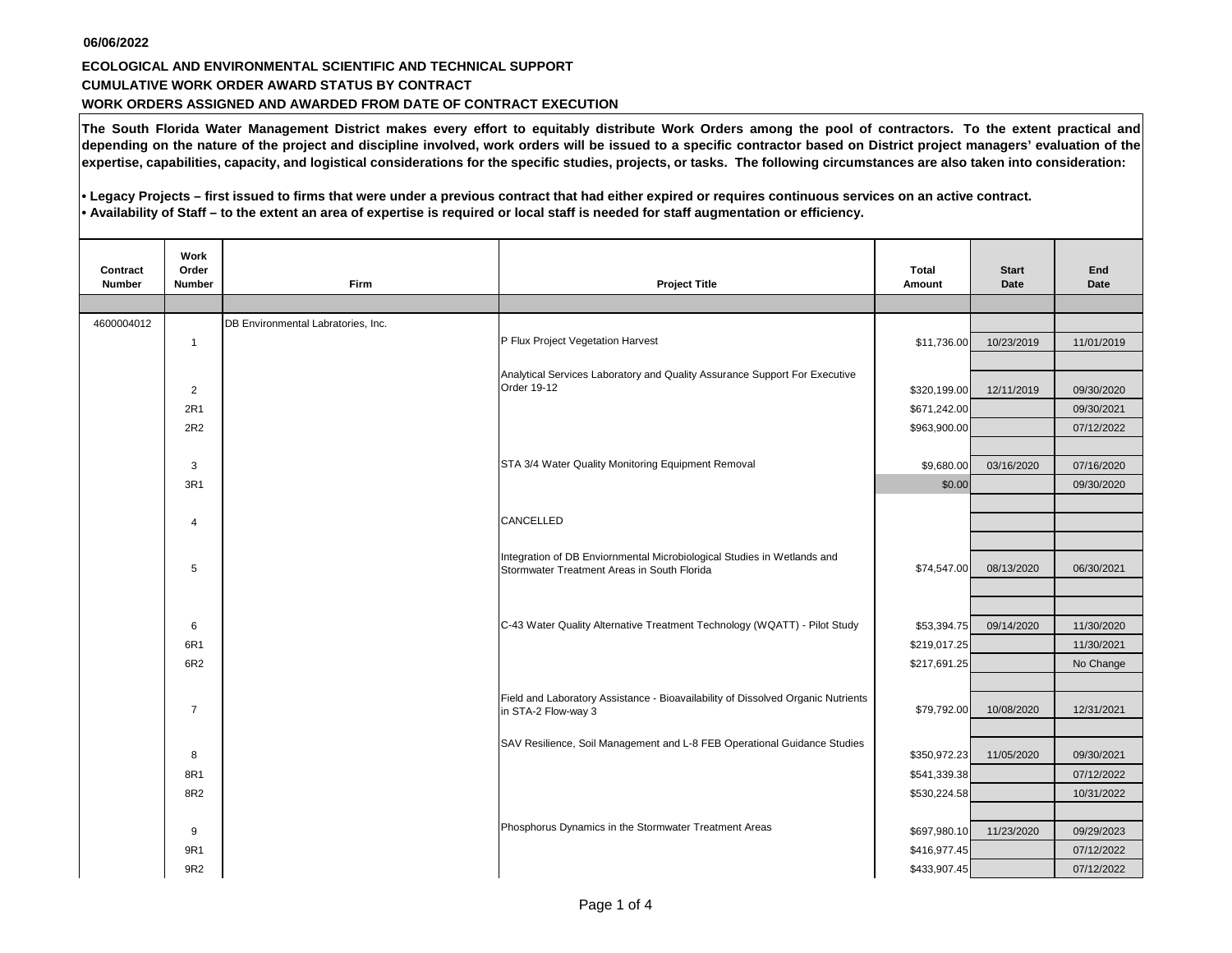## **06/06/2022 CUMULATIVE WORK ORDER AWARD STATUS BY CONTRACT WORK ORDERS ASSIGNED AND AWARDED FROM DATE OF CONTRACT EXECUTION ECOLOGICAL AND ENVIRONMENTAL SCIENTIFIC AND TECHNICAL SUPPORT**

**The South Florida Water Management District makes every effort to equitably distribute Work Orders among the pool of contractors. To the extent practical and depending on the nature of the project and discipline involved, work orders will be issued to a specific contractor based on District project managers' evaluation of the expertise, capabilities, capacity, and logistical considerations for the specific studies, projects, or tasks. The following circumstances are also taken into consideration:**

**• Legacy Projects – first issued to firms that were under a previous contract that had either expired or requires continuous services on an active contract. • Availability of Staff – to the extent an area of expertise is required or local staff is needed for staff augmentation or efficiency.**

| Contract<br><b>Number</b> | Work<br>Order<br><b>Number</b> | Firm                               | <b>Project Title</b>                                                                                                   | <b>Total</b><br>Amount | <b>Start</b><br><b>Date</b>            | End<br><b>Date</b> |
|---------------------------|--------------------------------|------------------------------------|------------------------------------------------------------------------------------------------------------------------|------------------------|----------------------------------------|--------------------|
|                           |                                |                                    |                                                                                                                        |                        |                                        |                    |
| 4600004012                |                                | DB Environmental Labratories, Inc. |                                                                                                                        |                        |                                        |                    |
|                           | $\mathbf{1}$                   |                                    | P Flux Project Vegetation Harvest                                                                                      | \$11,736.00            | 10/23/2019                             | 11/01/2019         |
|                           |                                |                                    |                                                                                                                        |                        |                                        |                    |
|                           | 2                              |                                    | Analytical Services Laboratory and Quality Assurance Support For Executive<br>Order 19-12                              | \$320,199.00           | 12/11/2019                             | 09/30/2020         |
|                           | 2R1                            |                                    |                                                                                                                        | \$671,242.00           |                                        | 09/30/2021         |
|                           | 2R2                            |                                    |                                                                                                                        | \$963,900.00           |                                        | 07/12/2022         |
|                           |                                |                                    |                                                                                                                        |                        |                                        |                    |
|                           | 3                              |                                    | STA 3/4 Water Quality Monitoring Equipment Removal                                                                     | \$9,680.00             | 03/16/2020                             | 07/16/2020         |
|                           | 3R1                            |                                    |                                                                                                                        | \$0.00                 |                                        | 09/30/2020         |
|                           |                                |                                    |                                                                                                                        |                        |                                        |                    |
|                           | $\overline{4}$                 |                                    | CANCELLED                                                                                                              |                        |                                        |                    |
|                           |                                |                                    |                                                                                                                        |                        |                                        |                    |
|                           | 5                              |                                    | Integration of DB Enviornmental Microbiological Studies in Wetlands and<br>Stormwater Treatment Areas in South Florida | \$74,547.00            |                                        | 06/30/2021         |
|                           |                                |                                    |                                                                                                                        |                        |                                        |                    |
|                           |                                |                                    |                                                                                                                        |                        |                                        |                    |
|                           | 6                              |                                    | C-43 Water Quality Alternative Treatment Technology (WQATT) - Pilot Study                                              | \$53,394.75            | 09/14/2020                             | 11/30/2020         |
|                           | 6R1                            |                                    |                                                                                                                        | \$219,017.25           |                                        | 11/30/2021         |
|                           | 6R2                            |                                    |                                                                                                                        | \$217,691.25           |                                        | No Change          |
|                           |                                |                                    |                                                                                                                        |                        |                                        |                    |
|                           | $\overline{7}$                 |                                    | Field and Laboratory Assistance - Bioavailability of Dissolved Organic Nutrients<br>in STA-2 Flow-way 3                | \$79,792.00            |                                        | 12/31/2021         |
|                           |                                |                                    |                                                                                                                        |                        | 08/13/2020<br>10/08/2020<br>11/05/2020 |                    |
|                           |                                |                                    | SAV Resilience, Soil Management and L-8 FEB Operational Guidance Studies                                               |                        |                                        |                    |
|                           | 8                              |                                    |                                                                                                                        | \$350,972.23           |                                        | 09/30/2021         |
|                           | 8R1                            |                                    |                                                                                                                        | \$541,339.38           |                                        | 07/12/2022         |
|                           | 8R2                            |                                    |                                                                                                                        | \$530,224.58           |                                        | 10/31/2022         |
|                           |                                |                                    | Phosphorus Dynamics in the Stormwater Treatment Areas                                                                  |                        |                                        |                    |
|                           | 9                              |                                    |                                                                                                                        | \$697,980.10           | 11/23/2020                             | 09/29/2023         |
|                           | 9R1                            |                                    |                                                                                                                        | \$416,977.45           |                                        | 07/12/2022         |
|                           | 9R2                            |                                    |                                                                                                                        | \$433,907.45           |                                        | 07/12/2022         |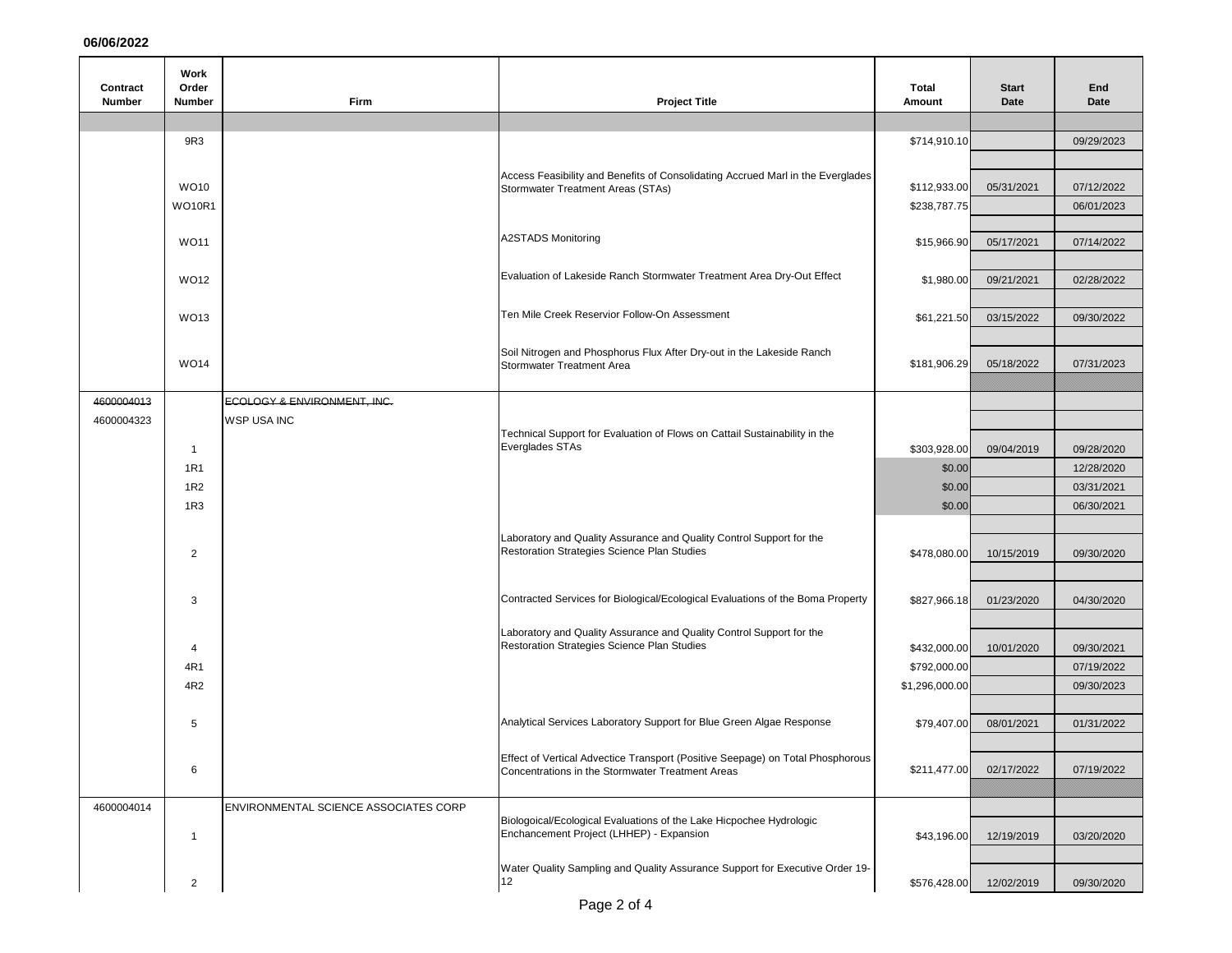**06/06/2022**

| Contract      | Work<br>Order  |                                                   |                                                                                                                                                                                                       | Total                          | <b>Start</b> | End                      |
|---------------|----------------|---------------------------------------------------|-------------------------------------------------------------------------------------------------------------------------------------------------------------------------------------------------------|--------------------------------|--------------|--------------------------|
| <b>Number</b> | Number         | Firm                                              | <b>Project Title</b>                                                                                                                                                                                  | Amount                         | Date         | Date                     |
|               |                |                                                   |                                                                                                                                                                                                       |                                |              |                          |
|               | 9R3            |                                                   |                                                                                                                                                                                                       | \$714,910.10                   |              | 09/29/2023               |
|               |                |                                                   | Access Feasibility and Benefits of Consolidating Accrued Marl in the Everglades<br>Stormwater Treatment Areas (STAs)                                                                                  |                                |              |                          |
|               | <b>WO10</b>    |                                                   |                                                                                                                                                                                                       | \$112,933.00                   | 05/31/2021   | 07/12/2022               |
|               | <b>WO10R1</b>  |                                                   |                                                                                                                                                                                                       | \$238,787.75                   |              | 06/01/2023               |
|               | <b>WO11</b>    |                                                   | <b>A2STADS Monitoring</b>                                                                                                                                                                             | \$15,966.90                    | 05/17/2021   | 07/14/2022               |
|               |                |                                                   |                                                                                                                                                                                                       |                                |              |                          |
|               | WO12           |                                                   | Evaluation of Lakeside Ranch Stormwater Treatment Area Dry-Out Effect                                                                                                                                 | \$1,980.00                     | 09/21/2021   | 02/28/2022               |
|               |                |                                                   |                                                                                                                                                                                                       |                                |              |                          |
|               | WO13           |                                                   | Ten Mile Creek Reservior Follow-On Assessment                                                                                                                                                         | \$61,221.50                    | 03/15/2022   | 09/30/2022               |
|               |                |                                                   | Soil Nitrogen and Phosphorus Flux After Dry-out in the Lakeside Ranch                                                                                                                                 |                                |              |                          |
|               | <b>WO14</b>    |                                                   | Stormwater Treatment Area                                                                                                                                                                             | \$181,906.29                   | 05/18/2022   | 07/31/2023               |
| 4600004013    |                |                                                   |                                                                                                                                                                                                       |                                |              |                          |
| 4600004323    |                | ECOLOGY & ENVIRONMENT, INC.<br><b>WSP USA INC</b> |                                                                                                                                                                                                       |                                |              |                          |
|               |                |                                                   | Technical Support for Evaluation of Flows on Cattail Sustainability in the                                                                                                                            |                                |              |                          |
|               | $\mathbf{1}$   |                                                   | Everglades STAs                                                                                                                                                                                       | \$303,928.00                   | 09/04/2019   | 09/28/2020               |
|               | 1R1<br>1R2     |                                                   |                                                                                                                                                                                                       | \$0.00<br>\$0.00               |              | 12/28/2020<br>03/31/2021 |
|               | 1R3            |                                                   |                                                                                                                                                                                                       | \$0.00                         |              | 06/30/2021               |
|               |                |                                                   |                                                                                                                                                                                                       |                                |              |                          |
|               | $\overline{c}$ |                                                   | Laboratory and Quality Assurance and Quality Control Support for the<br>Restoration Strategies Science Plan Studies                                                                                   | \$478,080.00                   | 10/15/2019   | 09/30/2020               |
|               |                |                                                   |                                                                                                                                                                                                       |                                |              |                          |
|               |                |                                                   |                                                                                                                                                                                                       |                                |              |                          |
|               | 3              |                                                   | Contracted Services for Biological/Ecological Evaluations of the Boma Property                                                                                                                        | \$827,966.18                   | 01/23/2020   | 04/30/2020               |
|               |                |                                                   | Laboratory and Quality Assurance and Quality Control Support for the                                                                                                                                  |                                |              |                          |
|               | 4              |                                                   | Restoration Strategies Science Plan Studies                                                                                                                                                           | \$432,000.00                   | 10/01/2020   | 09/30/2021               |
|               | 4R1<br>4R2     |                                                   |                                                                                                                                                                                                       | \$792,000.00<br>\$1,296,000.00 |              | 07/19/2022<br>09/30/2023 |
|               |                |                                                   |                                                                                                                                                                                                       |                                |              |                          |
|               | 5              |                                                   | Analytical Services Laboratory Support for Blue Green Algae Response                                                                                                                                  | \$79,407.00                    | 08/01/2021   | 01/31/2022               |
|               |                |                                                   |                                                                                                                                                                                                       |                                |              |                          |
|               | 6              |                                                   | Effect of Vertical Advectice Transport (Positive Seepage) on Total Phosphorous<br>Concentrations in the Stormwater Treatment Areas                                                                    | \$211,477.00                   | 02/17/2022   | 07/19/2022               |
|               |                |                                                   |                                                                                                                                                                                                       |                                |              |                          |
| 4600004014    |                | ENVIRONMENTAL SCIENCE ASSOCIATES CORP             |                                                                                                                                                                                                       |                                |              |                          |
|               | $\mathbf{1}$   |                                                   | Biologoical/Ecological Evaluations of the Lake Hicpochee Hydrologic<br>Enchancement Project (LHHEP) - Expansion<br>Water Quality Sampling and Quality Assurance Support for Executive Order 19-<br>12 | \$43,196.00                    | 12/19/2019   | 03/20/2020               |
|               |                |                                                   |                                                                                                                                                                                                       |                                |              |                          |
|               | $\overline{2}$ |                                                   |                                                                                                                                                                                                       | \$576,428.00                   | 12/02/2019   | 09/30/2020               |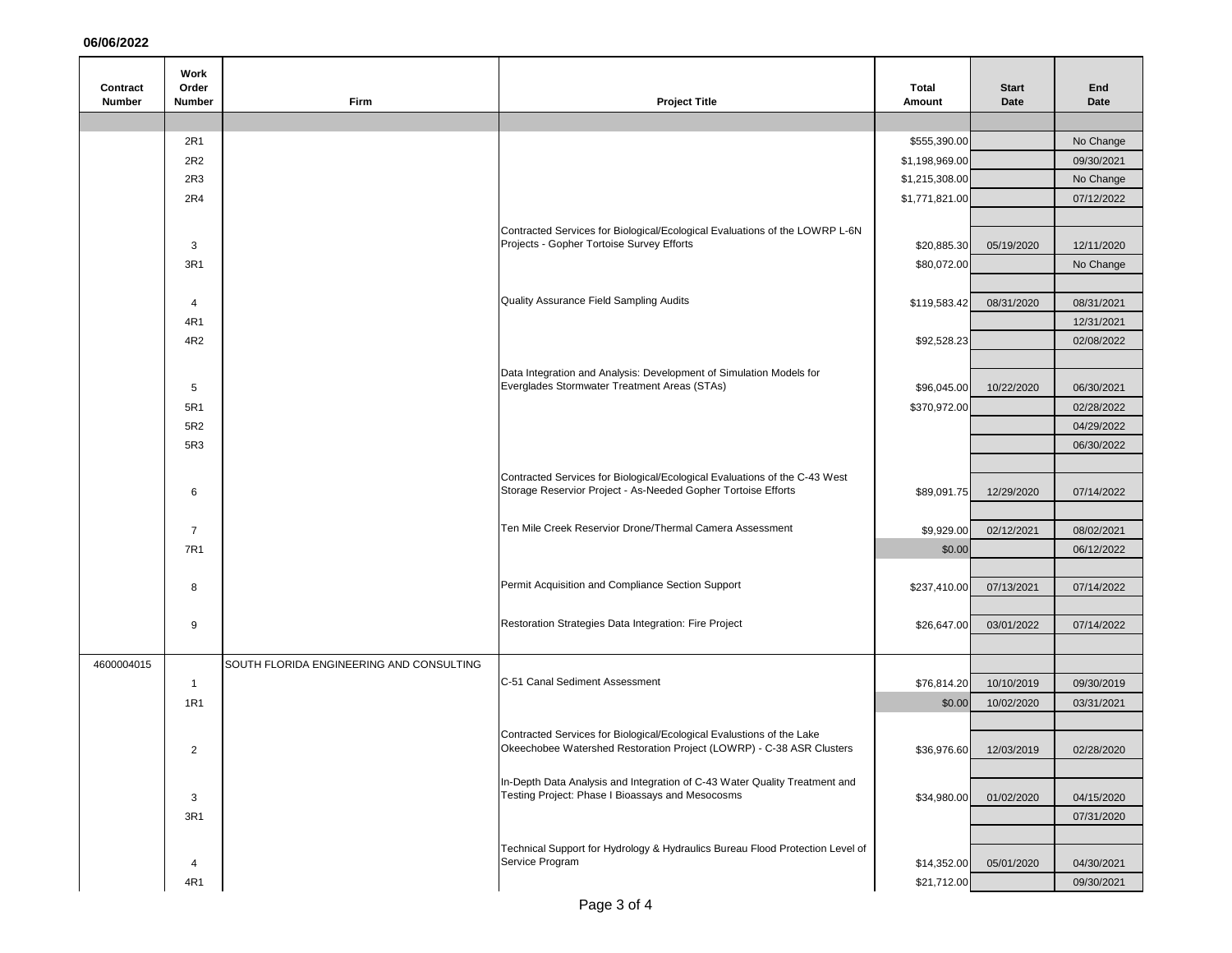## **06/06/2022**

|                           | Work                   |                                          |                                                                                                                                               |                 |                        |             |
|---------------------------|------------------------|------------------------------------------|-----------------------------------------------------------------------------------------------------------------------------------------------|-----------------|------------------------|-------------|
| Contract<br><b>Number</b> | Order<br><b>Number</b> | Firm                                     | <b>Project Title</b>                                                                                                                          | Total<br>Amount | <b>Start</b><br>Date   | End<br>Date |
|                           |                        |                                          |                                                                                                                                               |                 |                        |             |
|                           | 2R1                    |                                          |                                                                                                                                               | \$555,390.00    |                        | No Change   |
|                           | 2R2                    |                                          |                                                                                                                                               | \$1,198,969.00  |                        | 09/30/2021  |
|                           | 2R3                    |                                          |                                                                                                                                               | \$1,215,308.00  |                        | No Change   |
|                           | 2R4                    |                                          |                                                                                                                                               | \$1,771,821.00  |                        | 07/12/2022  |
|                           |                        |                                          |                                                                                                                                               |                 |                        |             |
| 3                         |                        |                                          | Contracted Services for Biological/Ecological Evaluations of the LOWRP L-6N<br>Projects - Gopher Tortoise Survey Efforts                      | \$20,885.30     | 05/19/2020             | 12/11/2020  |
|                           | 3R1                    |                                          |                                                                                                                                               | \$80,072.00     |                        | No Change   |
|                           |                        |                                          |                                                                                                                                               |                 |                        |             |
|                           | 4                      |                                          | Quality Assurance Field Sampling Audits                                                                                                       | \$119,583.42    | 08/31/2020             | 08/31/2021  |
|                           | 4R1                    |                                          |                                                                                                                                               |                 |                        | 12/31/2021  |
|                           | 4R2                    |                                          |                                                                                                                                               | \$92,528.23     |                        | 02/08/2022  |
|                           |                        |                                          |                                                                                                                                               |                 |                        |             |
|                           |                        |                                          | Data Integration and Analysis: Development of Simulation Models for                                                                           |                 |                        |             |
|                           | 5                      |                                          | Everglades Stormwater Treatment Areas (STAs)                                                                                                  | \$96,045.00     | 10/22/2020             | 06/30/2021  |
|                           | 5R1                    |                                          |                                                                                                                                               | \$370,972.00    |                        | 02/28/2022  |
|                           | 5R2                    |                                          |                                                                                                                                               |                 |                        | 04/29/2022  |
|                           | 5R3                    |                                          |                                                                                                                                               |                 |                        | 06/30/2022  |
|                           |                        |                                          | Contracted Services for Biological/Ecological Evaluations of the C-43 West                                                                    |                 |                        |             |
|                           | 6                      |                                          | Storage Reservior Project - As-Needed Gopher Tortoise Efforts                                                                                 | \$89,091.75     | 12/29/2020             | 07/14/2022  |
|                           |                        |                                          |                                                                                                                                               |                 |                        |             |
|                           | $\overline{7}$         |                                          | Ten Mile Creek Reservior Drone/Thermal Camera Assessment                                                                                      | \$9,929.00      | 02/12/2021             | 08/02/2021  |
|                           | 7R1                    |                                          |                                                                                                                                               | \$0.00          |                        | 06/12/2022  |
|                           |                        |                                          |                                                                                                                                               |                 |                        |             |
|                           | 8                      |                                          | Permit Acquisition and Compliance Section Support                                                                                             | \$237,410.00    | 07/13/2021             | 07/14/2022  |
|                           |                        |                                          |                                                                                                                                               |                 |                        |             |
|                           | 9                      |                                          | Restoration Strategies Data Integration: Fire Project                                                                                         | \$26,647.00     | 03/01/2022             | 07/14/2022  |
|                           |                        |                                          |                                                                                                                                               |                 |                        |             |
| 4600004015                |                        | SOUTH FLORIDA ENGINEERING AND CONSULTING |                                                                                                                                               |                 |                        |             |
|                           | $\mathbf{1}$           |                                          | C-51 Canal Sediment Assessment                                                                                                                | \$76,814.20     | 10/10/2019             | 09/30/2019  |
|                           | 1R1                    |                                          |                                                                                                                                               | \$0.00          | 10/02/2020             | 03/31/2021  |
|                           |                        |                                          |                                                                                                                                               |                 |                        |             |
|                           | 2                      |                                          | Contracted Services for Biological/Ecological Evalustions of the Lake<br>Okeechobee Watershed Restoration Project (LOWRP) - C-38 ASR Clusters |                 | \$36,976.60 12/03/2019 | 02/28/2020  |
|                           |                        |                                          |                                                                                                                                               |                 |                        |             |
|                           |                        |                                          | In-Depth Data Analysis and Integration of C-43 Water Quality Treatment and                                                                    |                 |                        |             |
|                           | 3                      |                                          | Testing Project: Phase I Bioassays and Mesocosms                                                                                              | \$34,980.00     | 01/02/2020             | 04/15/2020  |
|                           | 3R1                    |                                          |                                                                                                                                               |                 |                        | 07/31/2020  |
|                           |                        |                                          | Technical Support for Hydrology & Hydraulics Bureau Flood Protection Level of                                                                 |                 |                        |             |
|                           | 4                      |                                          | Service Program                                                                                                                               | \$14,352.00     | 05/01/2020             | 04/30/2021  |
|                           | 4R1                    |                                          |                                                                                                                                               | \$21,712.00     |                        | 09/30/2021  |